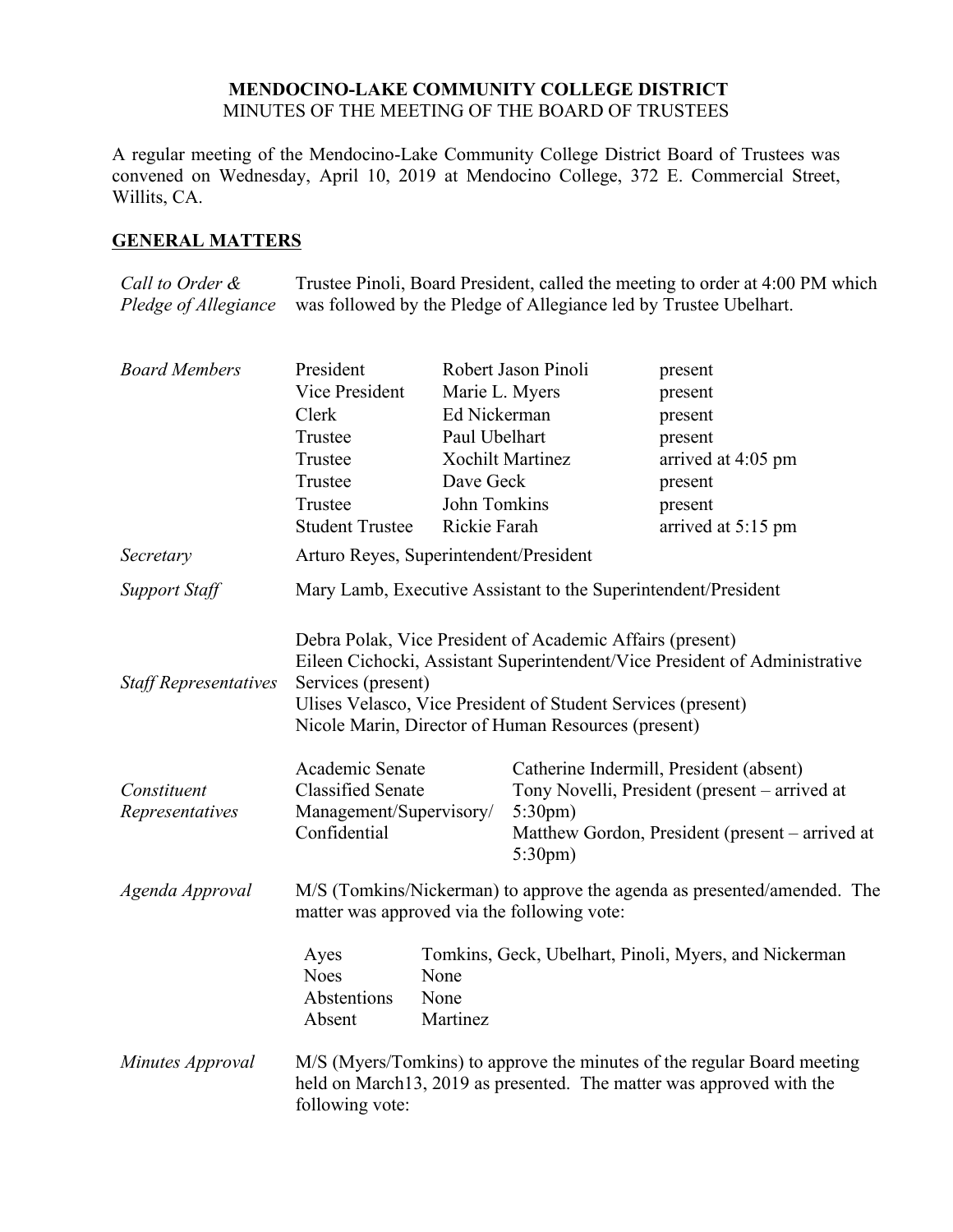## **MENDOCINO-LAKE COMMUNITY COLLEGE DISTRICT** MINUTES OF THE MEETING OF THE BOARD OF TRUSTEES

A regular meeting of the Mendocino-Lake Community College District Board of Trustees was convened on Wednesday, April 10, 2019 at Mendocino College, 372 E. Commercial Street, Willits, CA.

# **GENERAL MATTERS**

*Call to Order & Pledge of Allegiance* Trustee Pinoli, Board President, called the meeting to order at 4:00 PM which was followed by the Pledge of Allegiance led by Trustee Ubelhart.

| <b>Board Members</b>         | President                                                                                                                                                                                                                                                                            |                                                       | Robert Jason Pinoli     | present                                                                                                                                         |  |
|------------------------------|--------------------------------------------------------------------------------------------------------------------------------------------------------------------------------------------------------------------------------------------------------------------------------------|-------------------------------------------------------|-------------------------|-------------------------------------------------------------------------------------------------------------------------------------------------|--|
|                              | Vice President                                                                                                                                                                                                                                                                       | Marie L. Myers                                        |                         | present                                                                                                                                         |  |
|                              | Clerk                                                                                                                                                                                                                                                                                | Ed Nickerman                                          |                         | present                                                                                                                                         |  |
|                              | Trustee                                                                                                                                                                                                                                                                              | Paul Ubelhart                                         |                         | present                                                                                                                                         |  |
|                              | Trustee                                                                                                                                                                                                                                                                              |                                                       | <b>Xochilt Martinez</b> | arrived at 4:05 pm                                                                                                                              |  |
|                              | Trustee                                                                                                                                                                                                                                                                              | Dave Geck                                             |                         | present                                                                                                                                         |  |
|                              | Trustee                                                                                                                                                                                                                                                                              | John Tomkins                                          |                         | present                                                                                                                                         |  |
|                              | <b>Student Trustee</b>                                                                                                                                                                                                                                                               | Rickie Farah                                          |                         | arrived at 5:15 pm                                                                                                                              |  |
| Secretary                    | Arturo Reyes, Superintendent/President                                                                                                                                                                                                                                               |                                                       |                         |                                                                                                                                                 |  |
| <b>Support Staff</b>         | Mary Lamb, Executive Assistant to the Superintendent/President                                                                                                                                                                                                                       |                                                       |                         |                                                                                                                                                 |  |
| <b>Staff Representatives</b> | Debra Polak, Vice President of Academic Affairs (present)<br>Eileen Cichocki, Assistant Superintendent/Vice President of Administrative<br>Services (present)<br>Ulises Velasco, Vice President of Student Services (present)<br>Nicole Marin, Director of Human Resources (present) |                                                       |                         |                                                                                                                                                 |  |
|                              | Academic Senate                                                                                                                                                                                                                                                                      |                                                       |                         | Catherine Indermill, President (absent)                                                                                                         |  |
| Constituent                  | <b>Classified Senate</b>                                                                                                                                                                                                                                                             |                                                       |                         | Tony Novelli, President (present – arrived at                                                                                                   |  |
| Representatives              | Management/Supervisory/<br>Confidential                                                                                                                                                                                                                                              |                                                       | $5:30 \text{pm}$ )      |                                                                                                                                                 |  |
|                              |                                                                                                                                                                                                                                                                                      |                                                       | 5:30pm)                 | Matthew Gordon, President (present – arrived at                                                                                                 |  |
| Agenda Approval              | M/S (Tomkins/Nickerman) to approve the agenda as presented/amended. The<br>matter was approved via the following vote:                                                                                                                                                               |                                                       |                         |                                                                                                                                                 |  |
|                              | Ayes                                                                                                                                                                                                                                                                                 | Tomkins, Geck, Ubelhart, Pinoli, Myers, and Nickerman |                         |                                                                                                                                                 |  |
|                              | <b>Noes</b>                                                                                                                                                                                                                                                                          | None                                                  |                         |                                                                                                                                                 |  |
|                              | Abstentions<br>Absent                                                                                                                                                                                                                                                                | None<br>Martinez                                      |                         |                                                                                                                                                 |  |
| Minutes Approval             | following vote:                                                                                                                                                                                                                                                                      |                                                       |                         | M/S (Myers/Tomkins) to approve the minutes of the regular Board meeting<br>held on March13, 2019 as presented. The matter was approved with the |  |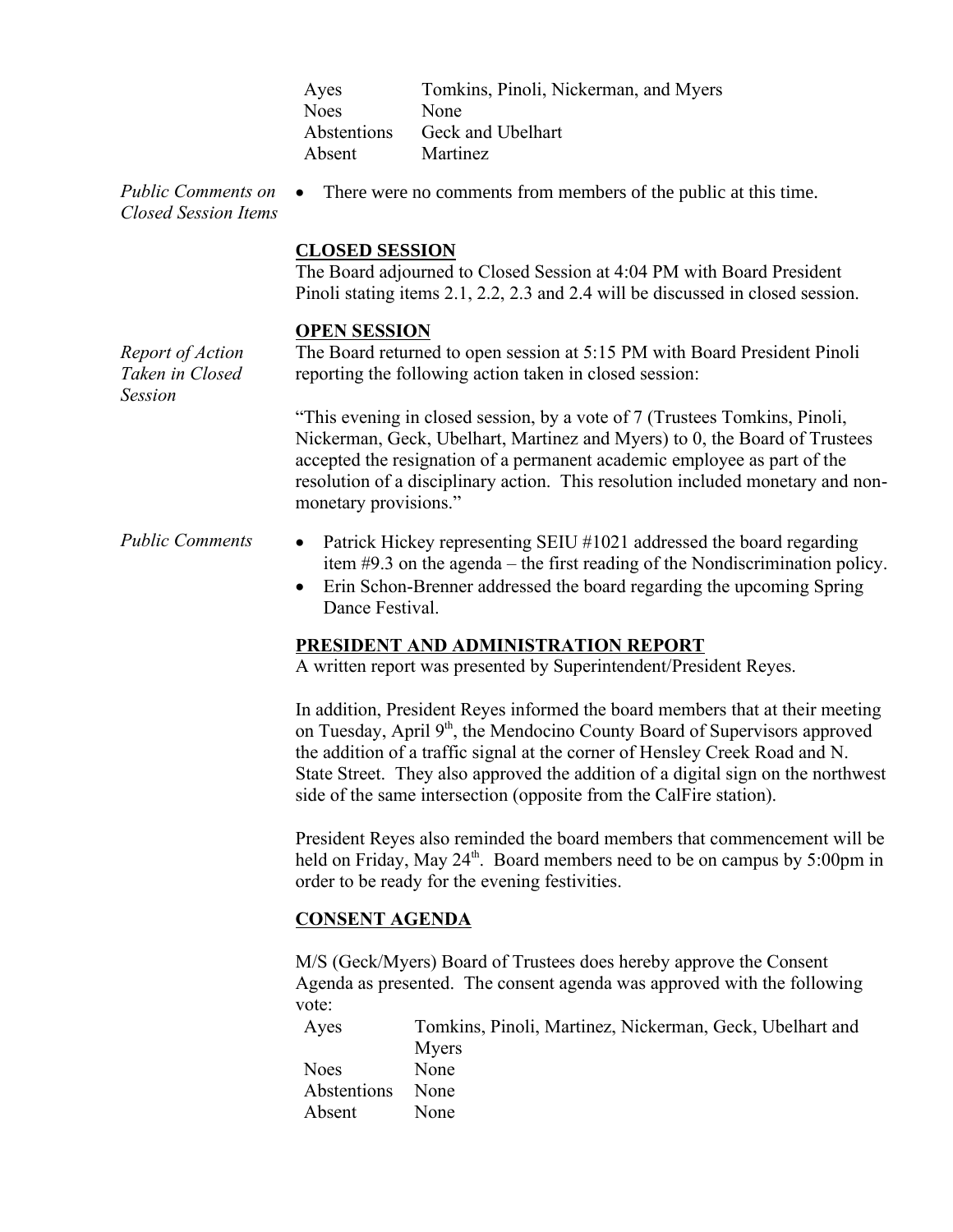| Ayes        | Tomkins, Pinoli, Nickerman, and Myers |
|-------------|---------------------------------------|
| <b>Noes</b> | None                                  |
| Abstentions | Geck and Ubelhart                     |
| Absent      | <b>Martinez</b>                       |

*Public Comments on Closed Session Items*

• There were no comments from members of the public at this time.

## **CLOSED SESSION**

The Board adjourned to Closed Session at 4:04 PM with Board President Pinoli stating items 2.1, 2.2, 2.3 and 2.4 will be discussed in closed session.

## **OPEN SESSION**

*Report of Action*  The Board returned to open session at 5:15 PM with Board President Pinoli reporting the following action taken in closed session:

> "This evening in closed session, by a vote of 7 (Trustees Tomkins, Pinoli, Nickerman, Geck, Ubelhart, Martinez and Myers) to 0, the Board of Trustees accepted the resignation of a permanent academic employee as part of the resolution of a disciplinary action. This resolution included monetary and nonmonetary provisions."

- *Public Comments* Patrick Hickey representing SEIU #1021 addressed the board regarding item #9.3 on the agenda – the first reading of the Nondiscrimination policy.
	- Erin Schon-Brenner addressed the board regarding the upcoming Spring Dance Festival.

# **PRESIDENT AND ADMINISTRATION REPORT**

A written report was presented by Superintendent/President Reyes.

In addition, President Reyes informed the board members that at their meeting on Tuesday, April 9<sup>th</sup>, the Mendocino County Board of Supervisors approved the addition of a traffic signal at the corner of Hensley Creek Road and N. State Street. They also approved the addition of a digital sign on the northwest side of the same intersection (opposite from the CalFire station).

President Reyes also reminded the board members that commencement will be held on Friday, May 24<sup>th</sup>. Board members need to be on campus by 5:00pm in order to be ready for the evening festivities.

# **CONSENT AGENDA**

M/S (Geck/Myers) Board of Trustees does hereby approve the Consent Agenda as presented. The consent agenda was approved with the following vote:

| Ayes        | Tomkins, Pinoli, Martinez, Nickerman, Geck, Ubelhart and |
|-------------|----------------------------------------------------------|
|             | Myers                                                    |
| <b>Noes</b> | None                                                     |
| Abstentions | None                                                     |
| Absent      | None                                                     |

*Taken in Closed Session*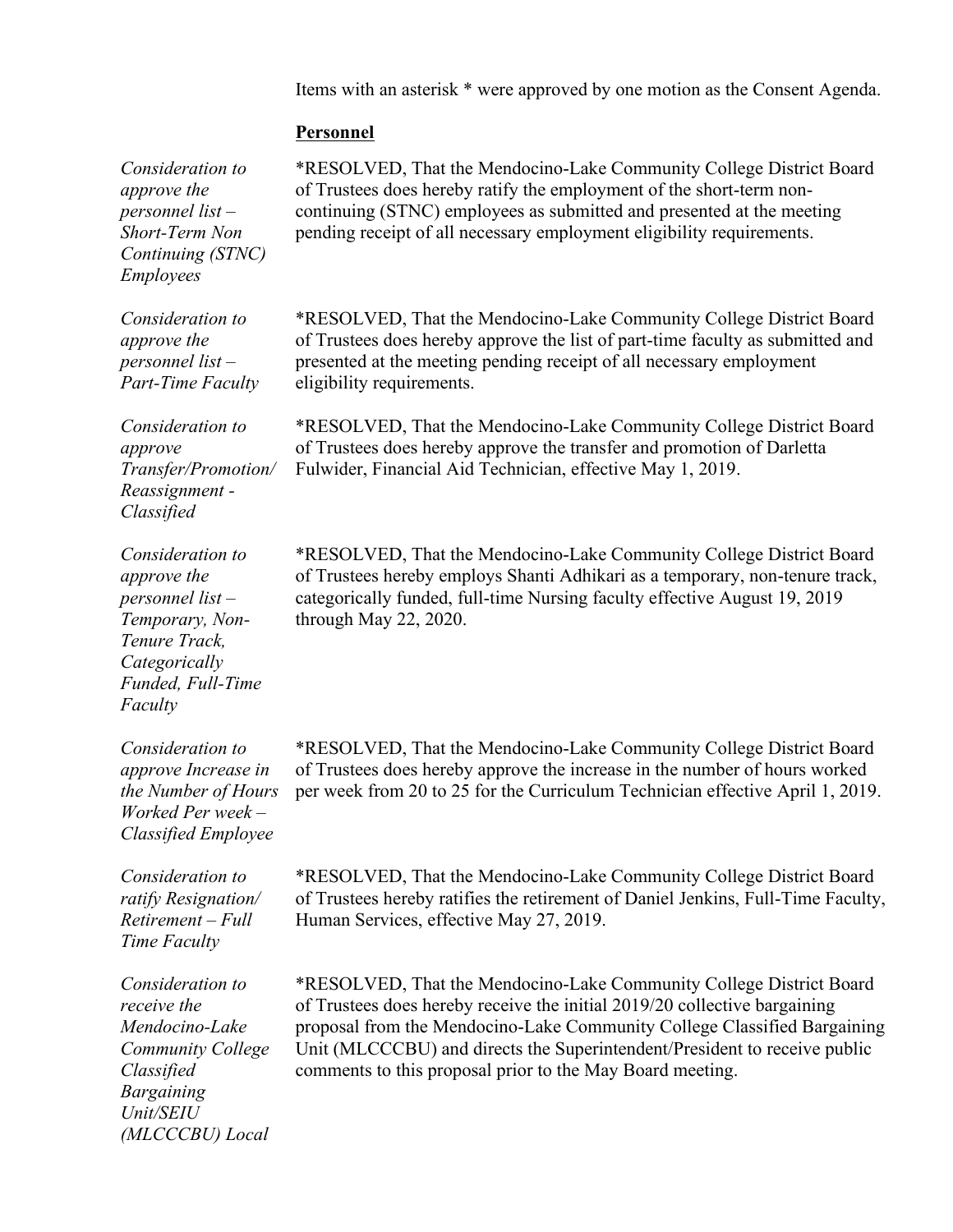Items with an asterisk \* were approved by one motion as the Consent Agenda.

# **Personnel**

| Consideration to<br>approve the<br>personnel list $-$<br>Short-Term Non<br>Continuing (STNC)<br><b>Employees</b>                                 | *RESOLVED, That the Mendocino-Lake Community College District Board<br>of Trustees does hereby ratify the employment of the short-term non-<br>continuing (STNC) employees as submitted and presented at the meeting<br>pending receipt of all necessary employment eligibility requirements.                                                                          |
|--------------------------------------------------------------------------------------------------------------------------------------------------|------------------------------------------------------------------------------------------------------------------------------------------------------------------------------------------------------------------------------------------------------------------------------------------------------------------------------------------------------------------------|
| Consideration to<br>approve the<br>personnel list $-$<br><b>Part-Time Faculty</b>                                                                | *RESOLVED, That the Mendocino-Lake Community College District Board<br>of Trustees does hereby approve the list of part-time faculty as submitted and<br>presented at the meeting pending receipt of all necessary employment<br>eligibility requirements.                                                                                                             |
| Consideration to<br>approve<br>Transfer/Promotion/<br>Reassignment -<br>Classified                                                               | *RESOLVED, That the Mendocino-Lake Community College District Board<br>of Trustees does hereby approve the transfer and promotion of Darletta<br>Fulwider, Financial Aid Technician, effective May 1, 2019.                                                                                                                                                            |
| Consideration to<br>approve the<br>personnel list $-$<br>Temporary, Non-<br>Tenure Track,<br>Categorically<br>Funded, Full-Time<br>Faculty       | *RESOLVED, That the Mendocino-Lake Community College District Board<br>of Trustees hereby employs Shanti Adhikari as a temporary, non-tenure track,<br>categorically funded, full-time Nursing faculty effective August 19, 2019<br>through May 22, 2020.                                                                                                              |
| Consideration to<br>approve Increase in<br>the Number of Hours<br>Worked Per week-<br><b>Classified Employee</b>                                 | *RESOLVED, That the Mendocino-Lake Community College District Board<br>of Trustees does hereby approve the increase in the number of hours worked<br>per week from 20 to 25 for the Curriculum Technician effective April 1, 2019.                                                                                                                                     |
| Consideration to<br>ratify Resignation/<br>$Retirement - Full$<br>Time Faculty                                                                   | *RESOLVED, That the Mendocino-Lake Community College District Board<br>of Trustees hereby ratifies the retirement of Daniel Jenkins, Full-Time Faculty,<br>Human Services, effective May 27, 2019.                                                                                                                                                                     |
| Consideration to<br>receive the<br>Mendocino-Lake<br><b>Community College</b><br>Classified<br><b>Bargaining</b><br>Unit/SEIU<br>(MLCCCBU) Local | *RESOLVED, That the Mendocino-Lake Community College District Board<br>of Trustees does hereby receive the initial 2019/20 collective bargaining<br>proposal from the Mendocino-Lake Community College Classified Bargaining<br>Unit (MLCCCBU) and directs the Superintendent/President to receive public<br>comments to this proposal prior to the May Board meeting. |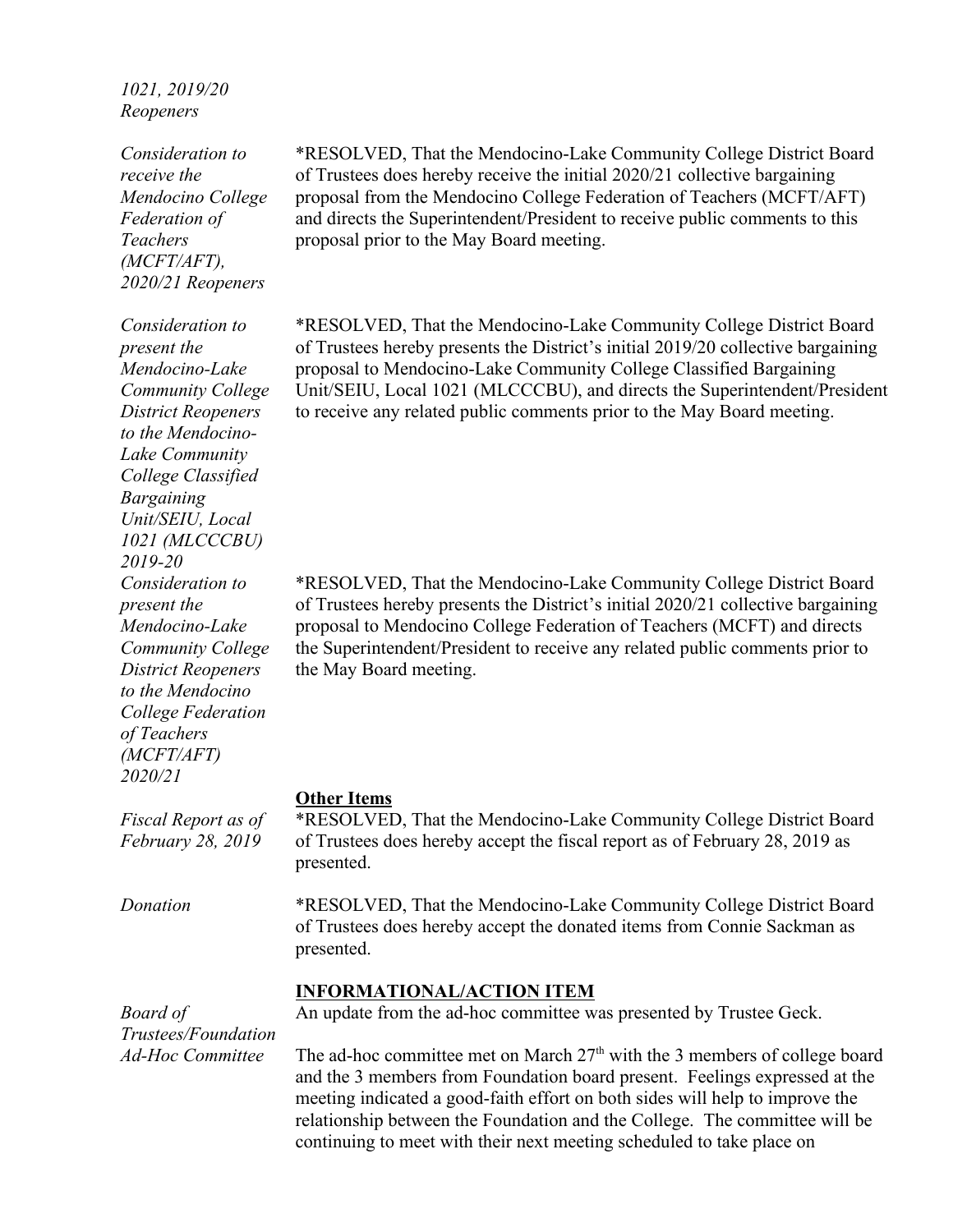# *1021, 2019/20 Reopeners*

*Consideration to receive the Mendocino College Federation of Teachers (MCFT/AFT), 2020/21 Reopeners*

\*RESOLVED, That the Mendocino-Lake Community College District Board of Trustees does hereby receive the initial 2020/21 collective bargaining proposal from the Mendocino College Federation of Teachers (MCFT/AFT) and directs the Superintendent/President to receive public comments to this proposal prior to the May Board meeting.

\*RESOLVED, That the Mendocino-Lake Community College District Board of Trustees hereby presents the District's initial 2019/20 collective bargaining proposal to Mendocino-Lake Community College Classified Bargaining Unit/SEIU, Local 1021 (MLCCCBU), and directs the Superintendent/President to receive any related public comments prior to the May Board meeting.

\*RESOLVED, That the Mendocino-Lake Community College District Board of Trustees hereby presents the District's initial 2020/21 collective bargaining proposal to Mendocino College Federation of Teachers (MCFT) and directs the Superintendent/President to receive any related public comments prior to the May Board meeting.

#### **Other Items**

\*RESOLVED, That the Mendocino-Lake Community College District Board of Trustees does hereby accept the fiscal report as of February 28, 2019 as presented.

*Donation* \*RESOLVED, That the Mendocino-Lake Community College District Board of Trustees does hereby accept the donated items from Connie Sackman as presented.

### **INFORMATIONAL/ACTION ITEM**

*Board of Trustees/Foundation Ad-Hoc Committee*

*Fiscal Report as of February 28, 2019*

An update from the ad-hoc committee was presented by Trustee Geck.

The ad-hoc committee met on March  $27<sup>th</sup>$  with the 3 members of college board and the 3 members from Foundation board present. Feelings expressed at the meeting indicated a good-faith effort on both sides will help to improve the relationship between the Foundation and the College. The committee will be continuing to meet with their next meeting scheduled to take place on

*Consideration to present the Mendocino-Lake Community College District Reopeners to the Mendocino-Lake Community College Classified Bargaining Unit/SEIU, Local 1021 (MLCCCBU) 2019-20 Consideration to present the Mendocino-Lake Community College District Reopeners to the Mendocino College Federation of Teachers (MCFT/AFT) 2020/21*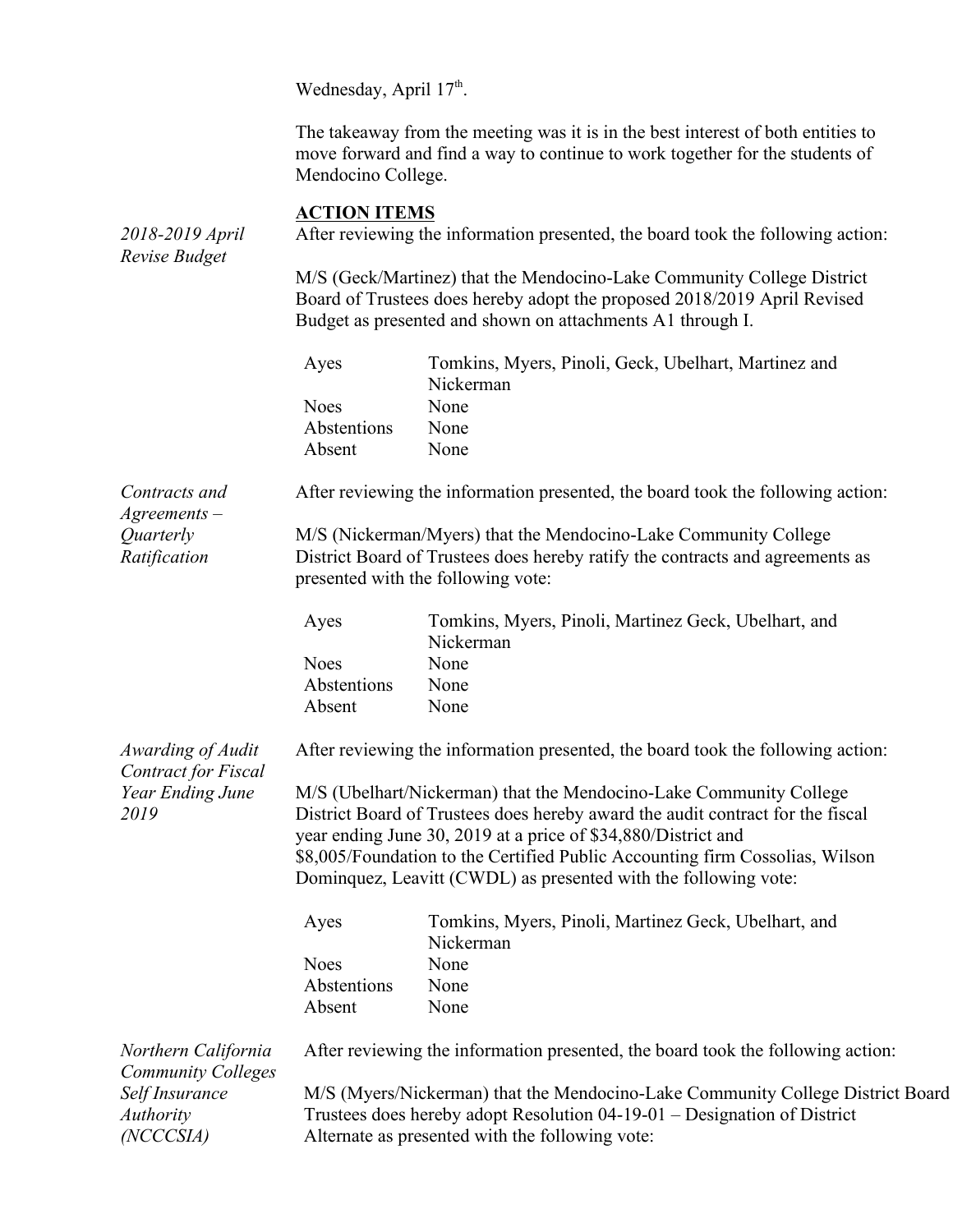Wednesday, April  $17<sup>th</sup>$ .

The takeaway from the meeting was it is in the best interest of both entities to move forward and find a way to continue to work together for the students of Mendocino College.

## **ACTION ITEMS**

*2018-2019 April Revise Budget* After reviewing the information presented, the board took the following action: M/S (Geck/Martinez) that the Mendocino-Lake Community College District Board of Trustees does hereby adopt the proposed 2018/2019 April Revised Budget as presented and shown on attachments A1 through I. Ayes Tomkins, Myers, Pinoli, Geck, Ubelhart, Martinez and Nickerman Noes None Abstentions None Absent None *Contracts and Agreements – Quarterly Ratification* After reviewing the information presented, the board took the following action: M/S (Nickerman/Myers) that the Mendocino-Lake Community College District Board of Trustees does hereby ratify the contracts and agreements as presented with the following vote: Ayes Tomkins, Myers, Pinoli, Martinez Geck, Ubelhart, and Nickerman Noes None Abstentions None Absent None *Awarding of Audit Contract for Fiscal Year Ending June 2019* After reviewing the information presented, the board took the following action: M/S (Ubelhart/Nickerman) that the Mendocino-Lake Community College District Board of Trustees does hereby award the audit contract for the fiscal year ending June 30, 2019 at a price of \$34,880/District and \$8,005/Foundation to the Certified Public Accounting firm Cossolias, Wilson Dominquez, Leavitt (CWDL) as presented with the following vote: Ayes Tomkins, Myers, Pinoli, Martinez Geck, Ubelhart, and Nickerman Noes None Abstentions None Absent None *Northern California Community Colleges Self Insurance Authority (NCCCSIA)*  After reviewing the information presented, the board took the following action: M/S (Myers/Nickerman) that the Mendocino-Lake Community College District Board Trustees does hereby adopt Resolution 04-19-01 – Designation of District Alternate as presented with the following vote: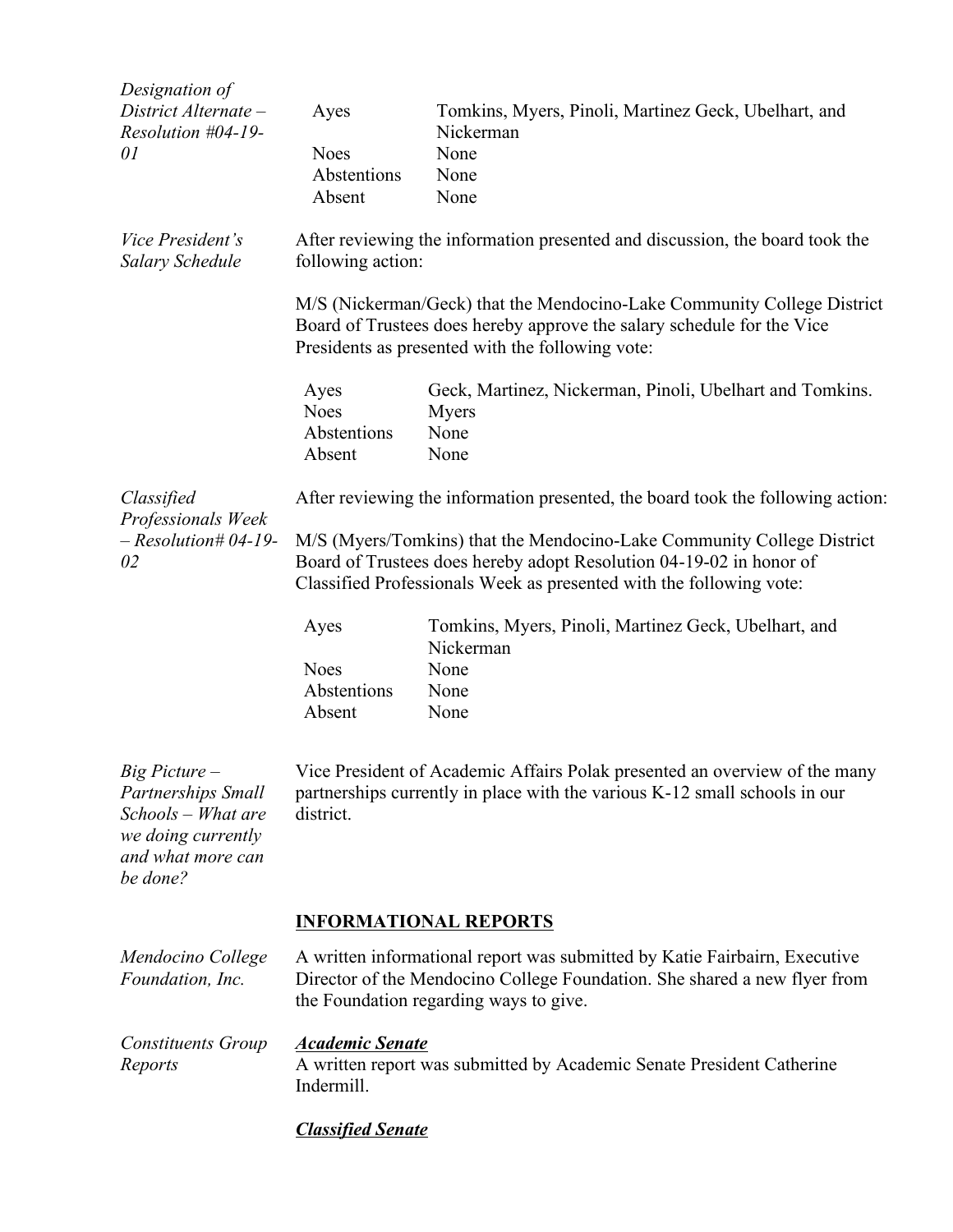| Designation of                                                                                                          |                                                                                                                                                                                                                      |                                                                   |  |  |
|-------------------------------------------------------------------------------------------------------------------------|----------------------------------------------------------------------------------------------------------------------------------------------------------------------------------------------------------------------|-------------------------------------------------------------------|--|--|
| District Alternate -<br>Resolution #04-19-                                                                              | Ayes                                                                                                                                                                                                                 | Tomkins, Myers, Pinoli, Martinez Geck, Ubelhart, and<br>Nickerman |  |  |
| 01                                                                                                                      | <b>Noes</b>                                                                                                                                                                                                          | None                                                              |  |  |
|                                                                                                                         | Abstentions                                                                                                                                                                                                          | None                                                              |  |  |
|                                                                                                                         | Absent                                                                                                                                                                                                               | None                                                              |  |  |
| Vice President's<br><b>Salary Schedule</b>                                                                              | After reviewing the information presented and discussion, the board took the<br>following action:                                                                                                                    |                                                                   |  |  |
|                                                                                                                         | M/S (Nickerman/Geck) that the Mendocino-Lake Community College District<br>Board of Trustees does hereby approve the salary schedule for the Vice<br>Presidents as presented with the following vote:                |                                                                   |  |  |
|                                                                                                                         | Ayes<br><b>Noes</b>                                                                                                                                                                                                  | Geck, Martinez, Nickerman, Pinoli, Ubelhart and Tomkins.<br>Myers |  |  |
|                                                                                                                         | Abstentions<br>Absent                                                                                                                                                                                                | None<br>None                                                      |  |  |
| Classified<br>Professionals Week<br>$-$ Resolution# 04-19-<br>02                                                        | After reviewing the information presented, the board took the following action:                                                                                                                                      |                                                                   |  |  |
|                                                                                                                         | M/S (Myers/Tomkins) that the Mendocino-Lake Community College District<br>Board of Trustees does hereby adopt Resolution 04-19-02 in honor of<br>Classified Professionals Week as presented with the following vote: |                                                                   |  |  |
|                                                                                                                         | Ayes                                                                                                                                                                                                                 | Tomkins, Myers, Pinoli, Martinez Geck, Ubelhart, and<br>Nickerman |  |  |
|                                                                                                                         | <b>Noes</b>                                                                                                                                                                                                          | None                                                              |  |  |
|                                                                                                                         | Abstentions                                                                                                                                                                                                          | None                                                              |  |  |
|                                                                                                                         | Absent                                                                                                                                                                                                               | None                                                              |  |  |
| Big Picture -<br><b>Partnerships Small</b><br>Schools – What are<br>we doing currently<br>and what more can<br>be done? | Vice President of Academic Affairs Polak presented an overview of the many<br>partnerships currently in place with the various K-12 small schools in our<br>district.                                                |                                                                   |  |  |
|                                                                                                                         |                                                                                                                                                                                                                      | <b>INFORMATIONAL REPORTS</b>                                      |  |  |
| Mendocino College<br>Foundation, Inc.                                                                                   | A written informational report was submitted by Katie Fairbairn, Executive<br>Director of the Mendocino College Foundation. She shared a new flyer from<br>the Foundation regarding ways to give.                    |                                                                   |  |  |
| <b>Constituents Group</b><br>Reports                                                                                    | <b>Academic Senate</b><br>A written report was submitted by Academic Senate President Catherine<br>Indermill.                                                                                                        |                                                                   |  |  |
|                                                                                                                         | <b>Classified Senate</b>                                                                                                                                                                                             |                                                                   |  |  |